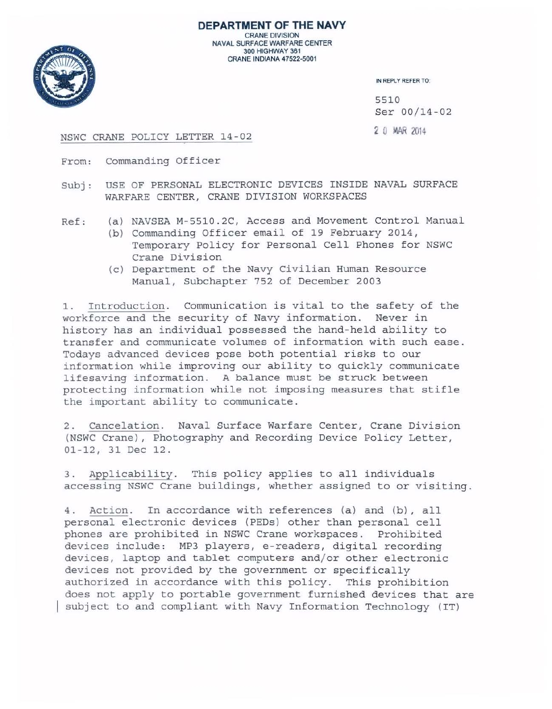

**DEPARTMENT OF THE NAVY**  CRANE DIVISION NAVAL SURFACE WARFARE CENTER 300 HIGHWAY 361 CRANE INDIANA 47522-5001

IN REPLY REFER TO:

5510 Ser 00 /14 - 02

## NSWC CRANE POLICY LETTER 14-02 20 MAR 2014

- From: Commanding Officer
- Subj: USE OF PERSONAL ELECTRONIC DEVICES INSIDE NAVAL SURFACE WARFARE CENTER, CRANE DIVISION WORKSPACES
- Ref: (a) NAVSEA M-5510.2C, Access and Movement Control Manual
	- (b) Commanding Officer email of 19 February 2014, Temporary Policy for Personal Cell Phones for NSWC Crane Division
	- (c) Department of the Navy Civilian Human Resource Manual, Subchapter 752 of December 2003

1. Introduction. Communication is vital to the safety of the workforce and the security of Navy information. Never in history has an individual possessed the hand-held ability to transfer and communicate volumes of information with such ease. Todays advanced devices pose both potential risks to our information while improving our ability to quickly communicate lifesaving information. A balance must be struck between protecting information while not imposing measures that stifle the important ability to communicate .

2. Cancelation. Naval Surface Warfare Center, Crane Division (NSWC Crane), Photography and Recording Device Policy Letter, 01-12, 31 Dec 12.

3. Applicability. This policy applies to all individuals accessing NSWC Crane buildings, whether assigned to or visiting .

4. Action. In accordance with references (a) and (b), all personal electronic devices (PEDs) other than personal cell phones are prohibited in NSWC Crane workspaces. Prohibited devices include: MP3 players, e-readers, digital recording devices, laptop and tablet computers and/or other electronic devices not provided by the government or specifically authorized in accordance with this policy. This prohibition does not apply to portable government furnished devices that are subject to and compliant with Navy Information Technology (IT)